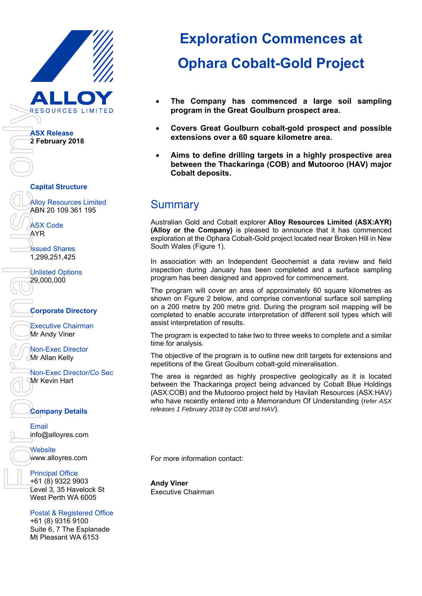

## **Exploration Commences at Ophara Cobalt-Gold Project**

- **The Company has commenced a large soil sampling program in the Great Goulburn prospect area.**
- **Covers Great Goulburn cobalt-gold prospect and possible extensions over a 60 square kilometre area.**
- **Aims to define drilling targets in a highly prospective area between the Thackaringa (COB) and Mutooroo (HAV) major Cobalt deposits.**

## **Summary**

Australian Gold and Cobalt explorer **Alloy Resources Limited (ASX:AYR) (Alloy or the Company)** is pleased to announce that it has commenced exploration at the Ophara Cobalt-Gold project located near Broken Hill in New South Wales (Figure 1).

In association with an Independent Geochemist a data review and field inspection during January has been completed and a surface sampling program has been designed and approved for commencement.

The program will cover an area of approximately 60 square kilometres as shown on Figure 2 below, and comprise conventional surface soil sampling on a 200 metre by 200 metre grid. During the program soil mapping will be completed to enable accurate interpretation of different soil types which will assist interpretation of results.

The program is expected to take two to three weeks to complete and a similar time for analysis.

The objective of the program is to outline new drill targets for extensions and repetitions of the Great Goulburn cobalt-gold mineralisation.

The area is regarded as highly prospective geologically as it is located between the Thackaringa project being advanced by Cobalt Blue Holdings (ASX:COB) and the Mutooroo project held by Havilah Resources (ASX:HAV) who have recently entered into a Memorandum Of Understanding (r*efer ASX releases 1 February 2018 by COB and HAV*).

For more information contact:

**Andy Viner**  Executive Chairman

Non-Exec Director/Co Sec

Postal & Registered Office Mt Pleasant WA 6153